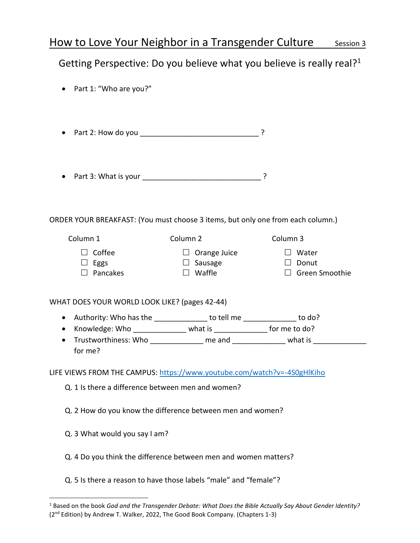# How to Love Your Neighbor in a Transgender Culture Session 3

# Getting Perspective: Do you believe what you believe is really real?<sup>1</sup>

| Part 1: "Who are you?"                                                          |                                                                                                                                                  |                                                                                  |
|---------------------------------------------------------------------------------|--------------------------------------------------------------------------------------------------------------------------------------------------|----------------------------------------------------------------------------------|
|                                                                                 |                                                                                                                                                  |                                                                                  |
|                                                                                 |                                                                                                                                                  |                                                                                  |
| ORDER YOUR BREAKFAST: (You must choose 3 items, but only one from each column.) |                                                                                                                                                  |                                                                                  |
| Column 1                                                                        | Column <sub>2</sub>                                                                                                                              | Column 3                                                                         |
| $\Box$ Coffee<br>$\Box$ Eggs<br>$\Box$ Pancakes                                 | $\Box$ Orange Juice<br>$\Box$ Sausage<br>$\square$ Waffle                                                                                        | $\Box$ Water<br>$\Box$ Donut<br>$\Box$ Green Smoothie                            |
| WHAT DOES YOUR WORLD LOOK LIKE? (pages 42-44)                                   |                                                                                                                                                  |                                                                                  |
| $\bullet$<br>$\bullet$<br>$\bullet$<br>for me?                                  | Authority: Who has the _______________ to tell me ______________ to do?<br>Knowledge: Who _______________ what is ________________ for me to do? | Trustworthiness: Who ____________ me and _____________ what is _________________ |
| LIFE VIEWS FROM THE CAMPUS: https://www.youtube.com/watch?v=-4S0gHlKiho         |                                                                                                                                                  |                                                                                  |
| Q. 1 Is there a difference between men and women?                               |                                                                                                                                                  |                                                                                  |
| Q. 2 How do you know the difference between men and women?                      |                                                                                                                                                  |                                                                                  |
| Q. 3 What would you say I am?                                                   |                                                                                                                                                  |                                                                                  |
| Q. 4 Do you think the difference between men and women matters?                 |                                                                                                                                                  |                                                                                  |
| Q. 5 Is there a reason to have those labels "male" and "female"?                |                                                                                                                                                  |                                                                                  |

<sup>1</sup> Based on the book *God and the Transgender Debate: What Does the Bible Actually Say About Gender Identity?* (2nd Edition) by Andrew T. Walker, 2022, The Good Book Company. (Chapters 1-3)